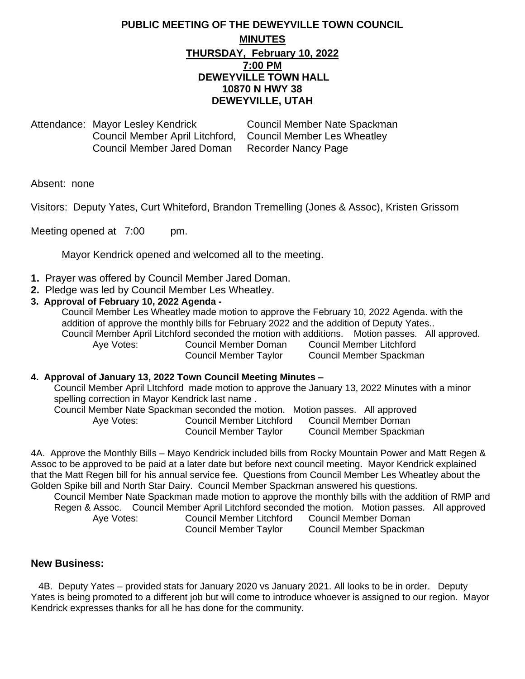## **PUBLIC MEETING OF THE DEWEYVILLE TOWN COUNCIL MINUTES THURSDAY, February 10, 2022 7:00 PM DEWEYVILLE TOWN HALL 10870 N HWY 38 DEWEYVILLE, UTAH**

Attendance: Mayor Lesley Kendrick Council Member Nate Spackman Council Member April Litchford, Council Member Les Wheatley Council Member Jared Doman Recorder Nancy Page

Absent: none

Visitors: Deputy Yates, Curt Whiteford, Brandon Tremelling (Jones & Assoc), Kristen Grissom

Meeting opened at 7:00 pm.

Mayor Kendrick opened and welcomed all to the meeting.

- **1.** Prayer was offered by Council Member Jared Doman.
- **2.** Pledge was led by Council Member Les Wheatley.

### **3. Approval of February 10, 2022 Agenda -**

Council Member Les Wheatley made motion to approve the February 10, 2022 Agenda. with the addition of approve the monthly bills for February 2022 and the addition of Deputy Yates.. Council Member April Litchford seconded the motion with additions. Motion passes. All approved. Aye Votes: Council Member Doman Council Member Litchford Council Member Taylor Council Member Spackman

#### **4. Approval of January 13, 2022 Town Council Meeting Minutes –**

Council Member April LItchford made motion to approve the January 13, 2022 Minutes with a minor spelling correction in Mayor Kendrick last name .

Council Member Nate Spackman seconded the motion. Motion passes. All approved Aye Votes: Council Member Litchford Council Member Doman Council Member Taylor Council Member Spackman

4A. Approve the Monthly Bills – Mayo Kendrick included bills from Rocky Mountain Power and Matt Regen & Assoc to be approved to be paid at a later date but before next council meeting. Mayor Kendrick explained that the Matt Regen bill for his annual service fee. Questions from Council Member Les Wheatley about the Golden Spike bill and North Star Dairy. Council Member Spackman answered his questions.

Council Member Nate Spackman made motion to approve the monthly bills with the addition of RMP and Regen & Assoc. Council Member April Litchford seconded the motion. Motion passes. All approved Aye Votes: Council Member Litchford Council Member Doman Council Member Taylor Council Member Spackman

**New Business:**

4B. Deputy Yates – provided stats for January 2020 vs January 2021. All looks to be in order. Deputy Yates is being promoted to a different job but will come to introduce whoever is assigned to our region. Mayor Kendrick expresses thanks for all he has done for the community.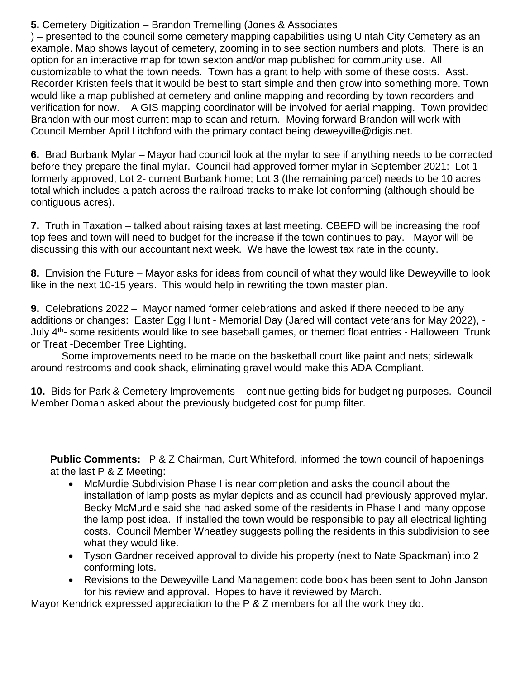**5.** Cemetery Digitization – Brandon Tremelling (Jones & Associates

) – presented to the council some cemetery mapping capabilities using Uintah City Cemetery as an example. Map shows layout of cemetery, zooming in to see section numbers and plots. There is an option for an interactive map for town sexton and/or map published for community use. All customizable to what the town needs. Town has a grant to help with some of these costs. Asst. Recorder Kristen feels that it would be best to start simple and then grow into something more. Town would like a map published at cemetery and online mapping and recording by town recorders and verification for now. A GIS mapping coordinator will be involved for aerial mapping. Town provided Brandon with our most current map to scan and return. Moving forward Brandon will work with Council Member April Litchford with the primary contact being deweyville@digis.net.

**6.** Brad Burbank Mylar – Mayor had council look at the mylar to see if anything needs to be corrected before they prepare the final mylar. Council had approved former mylar in September 2021: Lot 1 formerly approved, Lot 2- current Burbank home; Lot 3 (the remaining parcel) needs to be 10 acres total which includes a patch across the railroad tracks to make lot conforming (although should be contiguous acres).

**7.** Truth in Taxation – talked about raising taxes at last meeting. CBEFD will be increasing the roof top fees and town will need to budget for the increase if the town continues to pay. Mayor will be discussing this with our accountant next week. We have the lowest tax rate in the county.

**8.** Envision the Future – Mayor asks for ideas from council of what they would like Deweyville to look like in the next 10-15 years. This would help in rewriting the town master plan.

**9.** Celebrations 2022 – Mayor named former celebrations and asked if there needed to be any additions or changes: Easter Egg Hunt - Memorial Day (Jared will contact veterans for May 2022), - July 4<sup>th</sup>- some residents would like to see baseball games, or themed float entries - Halloween Trunk or Treat -December Tree Lighting.

Some improvements need to be made on the basketball court like paint and nets; sidewalk around restrooms and cook shack, eliminating gravel would make this ADA Compliant.

**10.** Bids for Park & Cemetery Improvements – continue getting bids for budgeting purposes. Council Member Doman asked about the previously budgeted cost for pump filter.

**Public Comments:** P & Z Chairman, Curt Whiteford, informed the town council of happenings at the last P & Z Meeting:

- McMurdie Subdivision Phase I is near completion and asks the council about the installation of lamp posts as mylar depicts and as council had previously approved mylar. Becky McMurdie said she had asked some of the residents in Phase I and many oppose the lamp post idea. If installed the town would be responsible to pay all electrical lighting costs. Council Member Wheatley suggests polling the residents in this subdivision to see what they would like.
- Tyson Gardner received approval to divide his property (next to Nate Spackman) into 2 conforming lots.
- Revisions to the Deweyville Land Management code book has been sent to John Janson for his review and approval. Hopes to have it reviewed by March.

Mayor Kendrick expressed appreciation to the P & Z members for all the work they do.